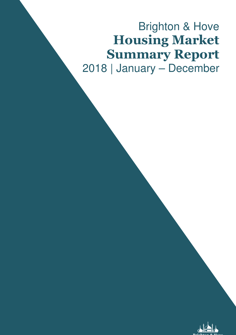# Brighton & Hove Housing Market Summary Report 2018 | January – December

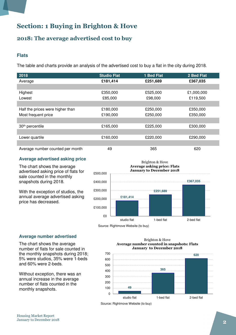## Section: 1 Buying in Brighton & Hove

### 2018: The average advertised cost to buy

#### **Flats**

The table and charts provide an analysis of the advertised cost to buy a flat in the city during 2018.

| 2018                             | <b>Studio Flat</b> | 1 Bed Flat | 2 Bed Flat |
|----------------------------------|--------------------|------------|------------|
| Average                          | £181,414           | £251,689   | £367,035   |
|                                  |                    |            |            |
| Highest                          | £350,000           | £525,000   | £1,000,000 |
| Lowest                           | £85,000            | £98,000    | £119,500   |
|                                  |                    |            |            |
| Half the prices were higher than | £180,000           | £250,000   | £350,000   |
| Most frequent price              | £190,000           | £250,000   | £350,000   |
|                                  |                    |            |            |
| 30 <sup>th</sup> percentile      | £165,000           | £225,000   | £300,000   |
|                                  |                    |            |            |
| Lower quartile                   | £160,000           | £220,000   | £290,000   |
|                                  |                    |            |            |
| Average number counted per month | 49                 | 365        | 620        |

#### **Average advertised asking price**

The chart shows the average advertised asking price of flats for sale counted in the monthly snapshots during 2018.

With the exception of studios, the annual average advertised asking price has decreased.



Source: Rightmove Website (to buy)

#### **Average number advertised**

The chart shows the average number of flats for sale counted in the monthly snapshots during 2018; 5% were studios, 35% were 1-beds and 60% were 2-beds.

Without exception, there was an annual increase in the average number of flats counted in the monthly snapshots. **100 Hermitian Street, 100 Hermitian Street, 100 Hermitian Street, 100 Hermitian Street, 100** 

#### Brighton & Hove Average number counted in snapshots: Flats January to December 2018



Source: Rightmove Website (to buy)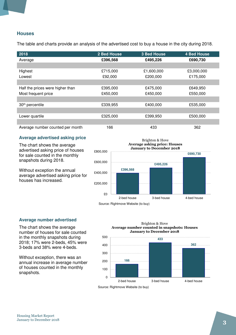#### **Houses**

The table and charts provide an analysis of the advertised cost to buy a house in the city during 2018.

| 2018                             | 2 Bed House | <b>3 Bed House</b> | <b>4 Bed House</b> |
|----------------------------------|-------------|--------------------|--------------------|
| Average                          | £396,568    | £495,226           | £690,730           |
|                                  |             |                    |                    |
| Highest                          | £715,000    | £1,600,000         | £3,000,000         |
| Lowest                           | £92,000     | £200,000           | £175,000           |
|                                  |             |                    |                    |
| Half the prices were higher than | £395,000    | £475,000           | £649,950           |
| Most frequent price              | £450,000    | £450,000           | £550,000           |
|                                  |             |                    |                    |
| 30 <sup>th</sup> percentile      | £339,955    | £400,000           | £535,000           |
|                                  |             |                    |                    |
| Lower quartile                   | £325,000    | £399,950           | £500,000           |
|                                  |             |                    |                    |
| Average number counted per month | 166         | 433                | 362                |

#### **Average advertised asking price**

The chart shows the average advertised asking price of houses for sale counted in the monthly snapshots during 2018.

Without exception the annual average advertised asking price for houses has increased.



Source: Rightmove Website (to buy)

#### **Average number advertised**

The chart shows the average number of houses for sale counted in the monthly snapshots during 2018; 17% were 2-beds, 45% were 3-beds and 38% were 4-beds.

Without exception, there was an annual increase in average number of houses counted in the monthly snapshots.





Source: Rightmove Website (to buy)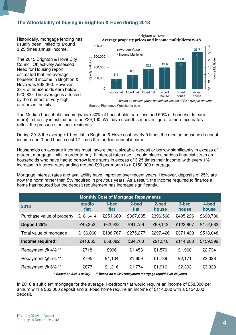### **The Affordability of buying in Brighton & Hove during 2018**

Historically, mortgage lending has usually been limited to around 3.25 times annual income.

The 2015 Brighton & Hove City Council Objectively Assessed Need for Housing report estimated that the average household income in Brighton & Hove was £38,300. However, 33% of households earn below £20,000. The average is affected by the number of very high earners in the city.



Brighton & Hove

Source: Rightmove Website (to buy)

The Median household income (where 50% of households earn less and 50% of households earn more) in the city is estimated to be £29,100. We have used this median figure to more accurately reflect the pressures on local residents.

During 2018 the average 1-bed flat in Brighton & Hove cost nearly 9 times the median household annual income and 3-bed house cost 17 times the median annual income.

Households on average incomes must have either a sizeable deposit or borrow significantly in excess of prudent mortgage limits in order to buy. If interest rates rise, it could place a serious financial strain on households who have had to borrow large sums in excess of 3.25 times their income, with every 1% increase in interest rates adding around £90 per month to a £150,000 mortgage.

Mortgage interest rates and availability have improved over recent years. However, deposits of 25% are now the norm rather than 5% required in previous years. As a result, the income required to finance a home has reduced but the deposit requirement has increase significantly.

| <b>Monthly Cost of Mortgage Repayments</b> |                       |               |               |                |                |                |
|--------------------------------------------|-----------------------|---------------|---------------|----------------|----------------|----------------|
| 2018                                       | <b>studio</b><br>flat | 1-bed<br>flat | 2-bed<br>flat | 2-bed<br>house | 3-bed<br>house | 4-bed<br>house |
| Purchase value of property                 | £181,414              | £251,689      | £367,035      | £396,568       | £495,226       | £690,730       |
| Deposit 25%                                | £45,353               | £62,922       | £91,759       | £99,142        | £123,807       | £172,683       |
| Total value of mortgage                    | £136,060              | £188,767      | £275,277      | £297,426       | £371,420       | £518,048       |
| Income required*                           | £41,865               | £58,082       | £84,700       | £91,516        | £114,283       | £159,399       |
| Repayment @ 4% **                          | £718                  | £996          | £1,453        | £1,570         | £1,960         | £2,734         |
| Repayment @ 5% **                          | £795                  | £1,104        | £1,609        | £1,739         | £2,171         | £3,028         |
| Repayment @ 6% **                          | £877                  | £1,216        | £1,774        | £1,916         | £2,393         | £3,338         |
|                                            |                       |               |               |                |                |                |

**\* Based on 3.25 x salary \*\* Based on a 75% repayment mortgage repaid over 25 years** 

In 2018 a sufficient mortgage for the average 1-bedroom flat would require an income of £58,000 per annum with a £63,000 deposit and a 3-bed home require an income of £114,000 with a £124,000 deposit.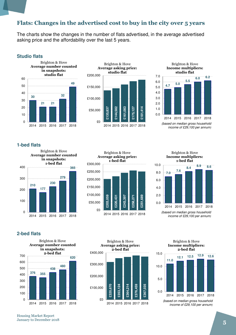### Flats: Changes in the advertised cost to buy in the city over 5 years

The charts show the changes in the number of flats advertised, in the average advertised asking price and the affordability over the last 5 years.

#### **Studio flats**





Brighton & Hove Income multipliers:



(based on median gross household income of £29,100 per annum)

#### **1-bed flats**







**2-bed flats** 





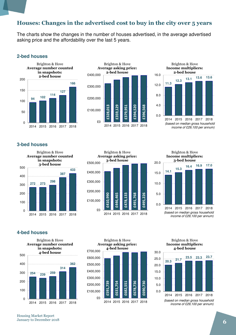### Houses: Changes in the advertised cost to buy in the city over 5 years

The charts show the changes in the number of houses advertised, in the average advertised asking price and the affordability over the last 5 years.

#### **2-bed houses**







(based on median gross household income of £29,100 per annum)

#### **3-bed houses**





**14.1 15.3 16.4 16.9 17.0** 10.0 15.0 20.0 Brighton & Hove Income multipliers: 3-bed house

0.0 2014 2015 2016 2017 2018 (based on median gross household income of £29,100 per annum)

5.0

**4-bed houses** 





Brighton & Hove Income multipliers: 4-bed house



income of £29,100 per annum)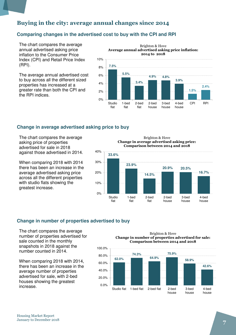### Buying in the city: average annual changes since 2014

#### **Comparing changes in the advertised cost to buy with the CPI and RPI**

0%

Studio flat

1-bed flat

2-bed flat

The chart compares the average annual advertised asking price inflation to the Consumer Price Index (CPI) and Retail Price Index (RPI).

The average annual advertised cost to buy across all the different sized properties has increased at a greater rate than both the CPI and the RPI indices.

**7.5% 5.5% 3.4% 4.9% 4.8% 3.9% 1.5% 2.4%**  $2%$  $A O$ 6% 8% 10% Brighton & Hove Average annual advertised asking price inflation: 2014 to 2018

> 2-bed house

3-bed house 4-bed house CPI RPI

#### **Change in average advertised asking price to buy**

The chart compares the average asking price of properties advertised for sale in 2018 against those advertised in 2014.

When comparing 2018 with 2014 there has been an increase in the average advertised asking price across all the different properties with studio flats showing the greatest increase.

Brighton & Hove Change in average advertised asking price: Comparison between 2014 and 2018



#### **Change in number of properties advertised to buy**

The chart compares the average number of properties advertised for sale counted in the monthly snapshots in 2018 against the number counted in 2014.

When comparing 2018 with 2014, there has been an increase in the average number of properties advertised for sale, with 2-bed houses showing the greatest increase.

Brighton & Hove Change in number of properties advertised for sale: Comparison between 2014 and 2018

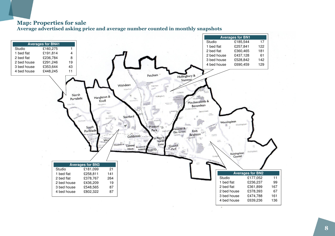### Map: Properties for sale

Average advertised asking price and average number counted in monthly snapshots

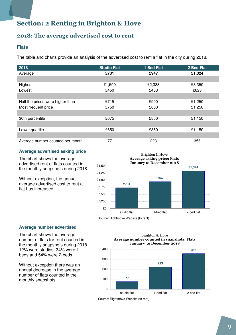## Section: 2 Renting in Brighton & Hove

### 2018: The average advertised cost to rent

#### **Flats**

The table and charts provide an analysis of the advertised cost to rent a flat in the city during 2018.

| 2018                             | <b>Studio Flat</b> | 1 Bed Flat | 2 Bed Flat |
|----------------------------------|--------------------|------------|------------|
| Average                          | £731               | £947       | £1,324     |
|                                  |                    |            |            |
| Highest                          | £1,500             | £2,383     | £3,350     |
| Lowest                           | £450               | £433       | £823       |
|                                  |                    |            |            |
| Half the prices were higher than | £715               | £900       | £1,250     |
| Most frequent price              | £750               | £850       | £1,250     |
|                                  |                    |            |            |
| 30th percentile                  | £675               | £850       | £1,150     |
|                                  |                    |            |            |
| Lower quartile                   | £650               | £850       | £1,150     |
|                                  |                    |            |            |
| Average number counted per month | 77                 | 223        | 356        |

#### **Average advertised asking price**

The chart shows the average advertised rent of flats counted in the monthly snapshots during 2018.

Without exception, the annual average advertised cost to rent a flat has increased.



Source: Rightmove Website (to rent)

#### **Average number advertised**

The chart shows the average number of flats for rent counted in the monthly snapshots during 2018. 12% were studios, 34% were 1 beds and 54% were 2-beds.

Without exception there was an annual decrease in the average number of flats counted in the monthly snapshots.

Brighton & Hove Average number counted in snapshots: Flats January to December 2018



Source: Rightmove Website (to rent)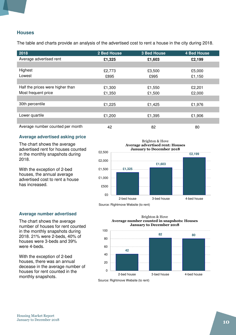#### **Houses**

The table and charts provide an analysis of the advertised cost to rent a house in the city during 2018.

| 2018                             | 2 Bed House | <b>3 Bed House</b> | <b>4 Bed House</b> |
|----------------------------------|-------------|--------------------|--------------------|
| Average advertised rent          | £1,325      | £1,603             | £2,199             |
|                                  |             |                    |                    |
| Highest                          | £2,773      | £3,500             | £5,000             |
| Lowest                           | £895        | £995               | £1,150             |
|                                  |             |                    |                    |
| Half the prices were higher than | £1,300      | £1,550             | £2,201             |
| Most frequent price              | £1,350      | £1,500             | £2,000             |
|                                  |             |                    |                    |
| 30th percentile                  | £1,225      | £1,425             | £1,976             |
|                                  |             |                    |                    |
| Lower quartile                   | £1,200      | £1,395             | £1,906             |
|                                  |             |                    |                    |
| Average number counted per month | 42          | 82                 | 80                 |

#### **Average advertised asking price**

The chart shows the average advertised rent for houses counted in the monthly snapshots during 2018.

With the exception of 2-bed houses, the annual average advertised cost to rent a house has increased.



Source: Rightmove Website (to rent)

#### **Average number advertised**

The chart shows the average number of houses for rent counted in the monthly snapshots during 2018. 21% were 2-beds, 40% of houses were 3-beds and 39% were 4-beds.

With the exception of 2-bed houses, there was an annual decease in the average number of houses for rent counted in the monthly snapshots.

Brighton & Hove Average number counted in snapshots: Houses January to December 2018



Source: Rightmove Website (to rent)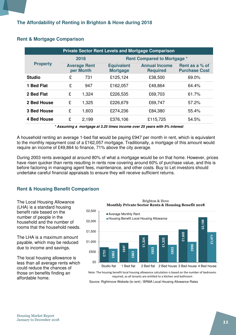| <b>Private Sector Rent Levels and Mortgage Comparison</b> |                                  |       |                                      |                                         |                                        |  |
|-----------------------------------------------------------|----------------------------------|-------|--------------------------------------|-----------------------------------------|----------------------------------------|--|
|                                                           | 2018                             |       | <b>Rent Compared to Mortgage *</b>   |                                         |                                        |  |
| <b>Property</b>                                           | <b>Average Rent</b><br>per Month |       | <b>Equivalent</b><br><b>Mortgage</b> | <b>Annual Income</b><br><b>Required</b> | Rent as a % of<br><b>Purchase Cost</b> |  |
| <b>Studio</b>                                             | £                                | 731   | £125,124                             | £38,500                                 | 69.0%                                  |  |
| 1 Bed Flat                                                | £                                | 947   | £162,057                             | £49,864                                 | 64.4%                                  |  |
| 2 Bed Flat                                                | £                                | 1,324 | £226,535                             | £69,703                                 | 61.7%                                  |  |
| 2 Bed House                                               | £                                | 1,325 | £226,679                             | £69,747                                 | 57.2%                                  |  |
| 3 Bed House                                               | £                                | 1,603 | £274,236                             | £84,380                                 | 55.4%                                  |  |
| 4 Bed House                                               | £                                | 2,199 | £376,106                             | £115,725                                | 54.5%                                  |  |

#### **Rent & Mortgage Comparison**

**\* Assuming a mortgage at 3.25 times income over 25 years with 5% interest** 

A household renting an average 1-bed flat would be paying £947 per month in rent, which is equivalent to the monthly repayment cost of a £162,057 mortgage. Traditionally, a mortgage of this amount would require an income of £49,864 to finance, 71% above the city average.

During 2003 rents averaged at around 80% of what a mortgage would be on that home. However, prices have risen quicker than rents resulting in rents now covering around 60% of purchase value, and this is before factoring in managing agent fees, maintenance, and other costs. Buy to Let investors should undertake careful financial appraisals to ensure they will receive sufficient returns.

#### **Rent & Housing Benefit Comparison**

The Local Housing Allowance (LHA) is a standard housing benefit rate based on the number of people in the household and the number of rooms that the household needs.

The LHA is a maximum amount payable, which may be reduced due to income and savings.

The local housing allowance is less than all average rents which could reduce the chances of those on benefits finding an affordable home.



Brighton & Hove

Note: The housing benefit local housing allowance calculation is based on the number of bedrooms required, as all tenants are entitled to a kitchen and bathroom

Source: Rightmove Website (to rent) / BRMA Local Housing Allowance Rates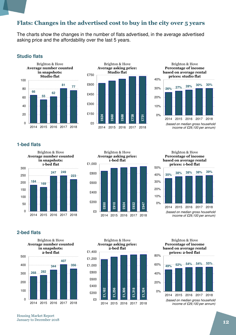### Flats: Changes in the advertised cost to buy in the city over 5 years

The charts show the changes in the number of flats advertised, in the average advertised asking price and the affordability over the last 5 years.

#### **Studio flats**





Brighton & Hove Percentage of income based on average rental prices: studio flat



(based on median gross household income of £29,100 per annum)

#### **1-bed flats**





Brighton & Hove Percentage of income based on average rental prices: 1-bed flat



#### **2-bed flats**



**£1,182 £1,256 £1,306 £1,318 £1,324**   $$0$ £200 £400 £600 £800 £1,000 £1,200 £1,400 Brighton & Hove Average asking price: 2-bed flat

2014 2015 2016 2017 2018

Brighton & Hove Percentage of income based on average rental prices: 2-bed flat

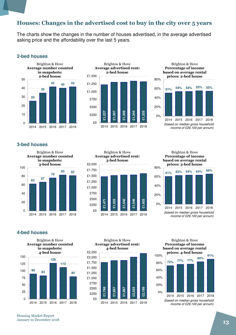### Houses: Changes in the advertised cost to buy in the city over 5 years

The charts show the changes in the number of houses advertised, in the average advertised asking price and the affordability over the last 5 years.

#### **2-bed houses**









(based on median gross household income of £29,100 per annum)

#### **3-bed houses**





Brighton & Hove Percentage of income based on average rental prices: 3-bed house



**4-bed houses** 





Brighton & Hove Percentage of income based on average rental

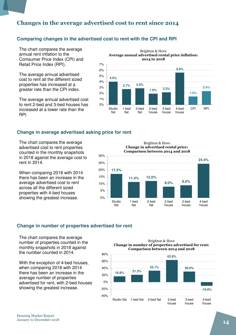### Changes in the average advertised cost to rent since 2014

#### **Comparing changes in the advertised cost to rent with the CPI and RPI**

The chart compares the average annual rent inflation to the Comsumer Price Index (CPI) and Retail Price Index (RPI).

The average annual advertised cost to rent all the different sized properties has increased at a greater rate than the CPI index.

The average annual advertised cost to rent 2-bed and 3-bed houses has increased at a lower rate than the RPI.



#### **Change in average advertised asking price for rent**

The chart compares the average advertised cost to rent properties counted in the monthly snapshots in 2018 against the average cost to rent in 2014.

When comparing 2018 with 2014 there has been an increase in the average advertised cost to rent across all the different sized properties with 4-bed houses showing the greatest increase.

Brighton & Hove Change in advertised rental price: Comparison between 2014 and 2018



#### **Change in number of properties advertised for rent**

The chart compares the average number of properties counted in the monthly snapshots in 2018 against the number counted in 2014.

With the exception of 4-bed houses, when comparing 2018 with 2014 there has been an increase in the average number of properties advertised for rent, with 2-bed houses showing the greatest increase.

Brighton & Hove Change in number of properties advertised for rent: Comparison between 2014 and 2018

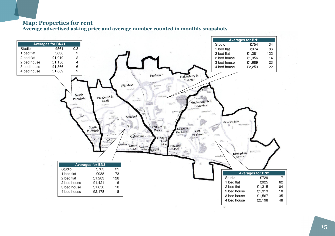### Map: Properties for rent

Average advertised asking price and average number counted in monthly snapshots